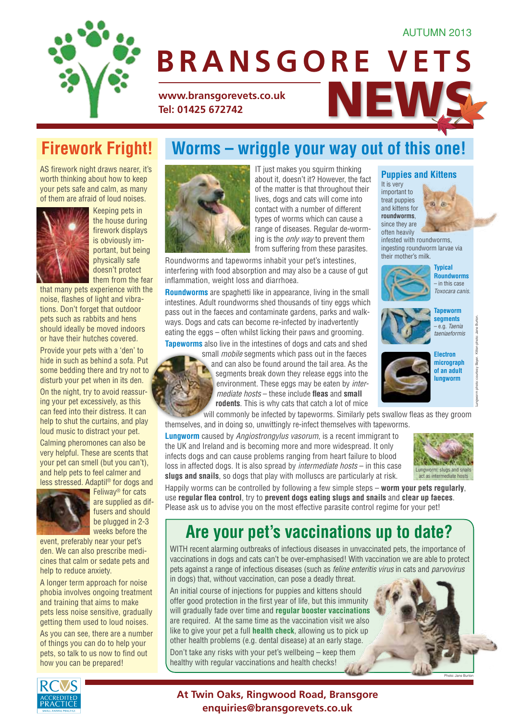#### AUTUMN 2013



# **www.bransgorevets.co.uk**<br>Tel: 01425 672742 **Tel: 01425 672742 BRANSGORE VETS**

AS firework night draws nearer, it's worth thinking about how to keep your pets safe and calm, as many of them are afraid of loud noises.



Keeping pets in the house during firework displays is obviously important, but being physically safe doesn't protect them from the fear

that many pets experience with the noise, flashes of light and vibrations. Don't forget that outdoor pets such as rabbits and hens should ideally be moved indoors or have their hutches covered.

Provide your pets with a 'den' to hide in such as behind a sofa. Put some bedding there and try not to disturb your pet when in its den. On the night, try to avoid reassuring your pet excessively, as this can feed into their distress. It can help to shut the curtains, and play loud music to distract your pet.

Calming pheromones can also be very helpful. These are scents that your pet can smell (but you can't), and help pets to feel calmer and less stressed. Adaptil® for dogs and



Feliway® for cats are supplied as diffusers and should be plugged in 2-3 weeks before the

event, preferably near your pet's den. We can also prescribe medicines that calm or sedate pets and help to reduce anxiety.

A longer term approach for noise phobia involves ongoing treatment and training that aims to make pets less noise sensitive, gradually getting them used to loud noises.

As you can see, there are a number of things you can do to help your pets, so talk to us now to find out how you can be prepared!

#### **Firework Fright! Worms – wriggle your way out of this one!**



IT just makes you squirm thinking about it, doesn't it? However, the fact of the matter is that throughout their lives, dogs and cats will come into contact with a number of different types of worms which can cause a range of diseases. Regular de-worming is the *only way* to prevent them from suffering from these parasites.

Roundworms and tapeworms inhabit your pet's intestines, interfering with food absorption and may also be a cause of gut inflammation, weight loss and diarrhoea.

**Roundworms** are spaghetti like in appearance, living in the small intestines. Adult roundworms shed thousands of tiny eggs which pass out in the faeces and contaminate gardens, parks and walkways. Dogs and cats can become re-infected by inadvertently eating the eggs – often whilst licking their paws and grooming.

**Tapeworms** also live in the intestines of dogs and cats and shed



small *mobile* segments which pass out in the faeces and can also be found around the tail area. As the segments break down they release eggs into the environment. These eggs may be eaten by *intermediate hosts* – these include **fleas** and **small rodents**. This is why cats that catch a lot of mice

will commonly be infected by tapeworms. Similarly pets swallow fleas as they groom themselves, and in doing so, unwittingly re-infect themselves with tapeworms.

**Lungworm** caused by *Angiostrongylus vasorum*, is a recent immigrant to the UK and Ireland and is becoming more and more widespread. It only infects dogs and can cause problems ranging from heart failure to blood loss in affected dogs. It is also spread by *intermediate hosts* – in this case **slugs and snails**, so dogs that play with molluscs are particularly at risk.



Happily worms can be controlled by following a few simple steps – **worm your pets regularly**, use **regular flea control**, try to **prevent dogs eating slugs and snails** and **clear up faeces**. Please ask us to advise you on the most effective parasite control regime for your pet!

### **Are your pet's vaccinations up to date?**

WITH recent alarming outbreaks of infectious diseases in unvaccinated pets, the importance of vaccinations in dogs and cats can't be over-emphasised! With vaccination we are able to protect pets against a range of infectious diseases (such as *feline enteritis virus* in cats and *parvovirus* in dogs) that, without vaccination, can pose a deadly threat.

An initial course of injections for puppies and kittens should offer good protection in the first year of life, but this immunity will gradually fade over time and **regular booster vaccinations** are required. At the same time as the vaccination visit we also like to give your pet a full **health check**, allowing us to pick up other health problems (e.g. dental disease) at an early stage.

Don't take any risks with your pet's wellbeing – keep them healthy with regular vaccinations and health checks!



Photo: Jane Burton

infested with roundworms, ingesting roundworm larvae via their mother's milk. **Typical Roundworms**



**Puppies and Kittens**

 $\circ$ **R** 

It is very important to treat puppies and kittens for **roundworms**, since they are often heavily





– e.g. *Taenia taeniaeformis*



Lungworm photo: courtesy Bayer. Kitten photo: Jane Burton.

**At Twin Oaks, Ringwood Road, Bransgore enquiries@bransgorevets.co.uk**